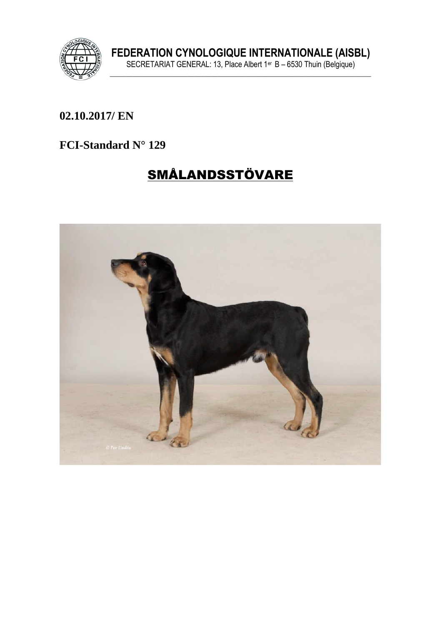

FEDERATION CYNOLOGIQUE INTERNATIONALE (AISBL)<br>SECRETARIAT GENERAL: 13, Place Albert 1<sup>er</sup> B – 6530 Thuin (Belgique)

## 02.10.2017/ EN

#### FCI-Standard N° 129

# **SMÅLANDSSTÖVARE**

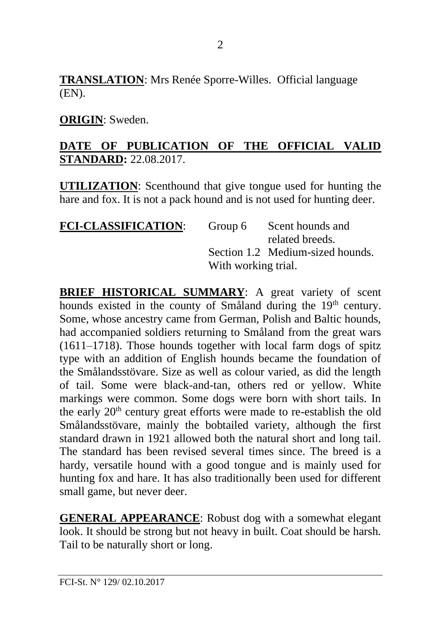**TRANSLATION**: Mrs Renée Sporre-Willes. Official language (EN).

#### **ORIGIN**: Sweden.

#### **DATE OF PUBLICATION OF THE OFFICIAL VALID STANDARD:** 22.08.2017.

**UTILIZATION**: Scenthound that give tongue used for hunting the hare and fox. It is not a pack hound and is not used for hunting deer.

| <b>FCI-CLASSIFICATION:</b> | Group 6             | Scent hounds and                 |
|----------------------------|---------------------|----------------------------------|
|                            |                     | related breeds.                  |
|                            |                     | Section 1.2 Medium-sized hounds. |
|                            | With working trial. |                                  |

**BRIEF HISTORICAL SUMMARY:** A great variety of scent hounds existed in the county of Småland during the 19<sup>th</sup> century. Some, whose ancestry came from German, Polish and Baltic hounds, had accompanied soldiers returning to Småland from the great wars (1611–1718). Those hounds together with local farm dogs of spitz type with an addition of English hounds became the foundation of the Smålandsstövare. Size as well as colour varied, as did the length of tail. Some were black-and-tan, others red or yellow. White markings were common. Some dogs were born with short tails. In the early  $20<sup>th</sup>$  century great efforts were made to re-establish the old Smålandsstövare, mainly the bobtailed variety, although the first standard drawn in 1921 allowed both the natural short and long tail. The standard has been revised several times since. The breed is a hardy, versatile hound with a good tongue and is mainly used for hunting fox and hare. It has also traditionally been used for different small game, but never deer.

**GENERAL APPEARANCE**: Robust dog with a somewhat elegant look. It should be strong but not heavy in built. Coat should be harsh. Tail to be naturally short or long.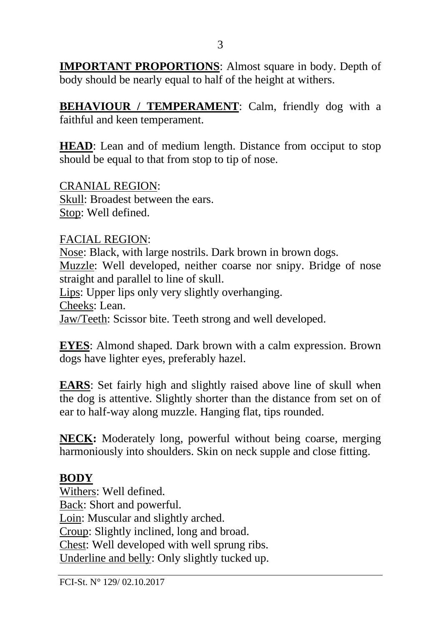**IMPORTANT PROPORTIONS**: Almost square in body. Depth of body should be nearly equal to half of the height at withers.

**BEHAVIOUR / TEMPERAMENT**: Calm, friendly dog with a faithful and keen temperament.

**HEAD**: Lean and of medium length. Distance from occiput to stop should be equal to that from stop to tip of nose.

CRANIAL REGION: Skull: Broadest between the ears. Stop: Well defined.

FACIAL REGION:

Nose: Black, with large nostrils. Dark brown in brown dogs. Muzzle: Well developed, neither coarse nor snipy. Bridge of nose straight and parallel to line of skull. Lips: Upper lips only very slightly overhanging. Cheeks: Lean.

Jaw/Teeth: Scissor bite. Teeth strong and well developed.

**EYES**: Almond shaped. Dark brown with a calm expression. Brown dogs have lighter eyes, preferably hazel.

**EARS**: Set fairly high and slightly raised above line of skull when the dog is attentive. Slightly shorter than the distance from set on of ear to half-way along muzzle. Hanging flat, tips rounded.

**NECK:** Moderately long, powerful without being coarse, merging harmoniously into shoulders. Skin on neck supple and close fitting.

#### **BODY**

Withers: Well defined. Back: Short and powerful. Loin: Muscular and slightly arched. Croup: Slightly inclined, long and broad. Chest: Well developed with well sprung ribs. Underline and belly: Only slightly tucked up.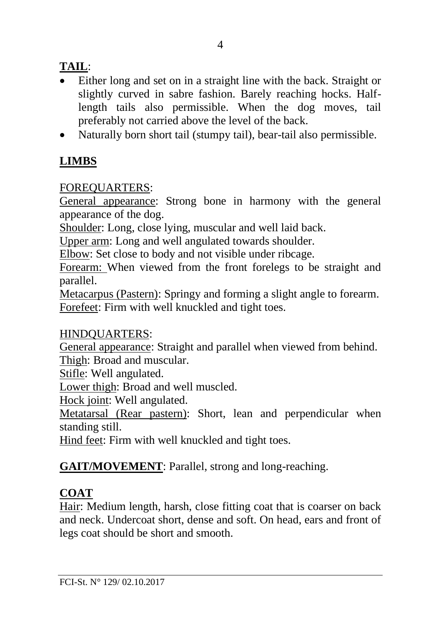## **TAIL**:

- Either long and set on in a straight line with the back. Straight or slightly curved in sabre fashion. Barely reaching hocks. Halflength tails also permissible. When the dog moves, tail preferably not carried above the level of the back.
- Naturally born short tail (stumpy tail), bear-tail also permissible.

## **LIMBS**

## FOREQUARTERS:

General appearance: Strong bone in harmony with the general appearance of the dog.

Shoulder: Long, close lying, muscular and well laid back.

Upper arm: Long and well angulated towards shoulder.

Elbow: Set close to body and not visible under ribcage.

Forearm: When viewed from the front forelegs to be straight and parallel.

Metacarpus (Pastern): Springy and forming a slight angle to forearm. Forefeet: Firm with well knuckled and tight toes.

## HINDQUARTERS:

General appearance: Straight and parallel when viewed from behind. Thigh: Broad and muscular.

Stifle: Well angulated.

Lower thigh: Broad and well muscled.

Hock joint: Well angulated.

Metatarsal (Rear pastern): Short, lean and perpendicular when standing still.

Hind feet: Firm with well knuckled and tight toes.

## **GAIT/MOVEMENT**: Parallel, strong and long-reaching.

## **COAT**

Hair: Medium length, harsh, close fitting coat that is coarser on back and neck. Undercoat short, dense and soft. On head, ears and front of legs coat should be short and smooth.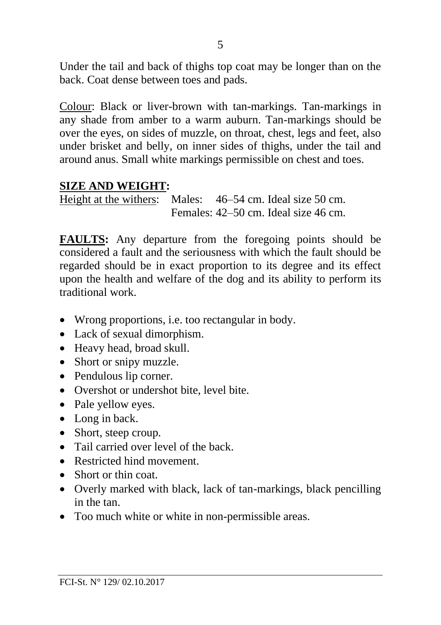Under the tail and back of thighs top coat may be longer than on the back. Coat dense between toes and pads.

Colour: Black or liver-brown with tan-markings. Tan-markings in any shade from amber to a warm auburn. Tan-markings should be over the eyes, on sides of muzzle, on throat, chest, legs and feet, also under brisket and belly, on inner sides of thighs, under the tail and around anus. Small white markings permissible on chest and toes.

#### **SIZE AND WEIGHT:**

Height at the withers: Males: 46–54 cm. Ideal size 50 cm. Females: 42–50 cm. Ideal size 46 cm.

**FAULTS:** Any departure from the foregoing points should be considered a fault and the seriousness with which the fault should be regarded should be in exact proportion to its degree and its effect upon the health and welfare of the dog and its ability to perform its traditional work.

- Wrong proportions, i.e. too rectangular in body.
- Lack of sexual dimorphism.
- Heavy head, broad skull.
- Short or snipy muzzle.
- Pendulous lip corner.
- Overshot or undershot bite, level bite.
- Pale yellow eyes.
- Long in back.
- Short, steep croup.
- Tail carried over level of the back.
- Restricted hind movement.
- Short or thin coat.
- Overly marked with black, lack of tan-markings, black pencilling in the tan.
- Too much white or white in non-permissible areas.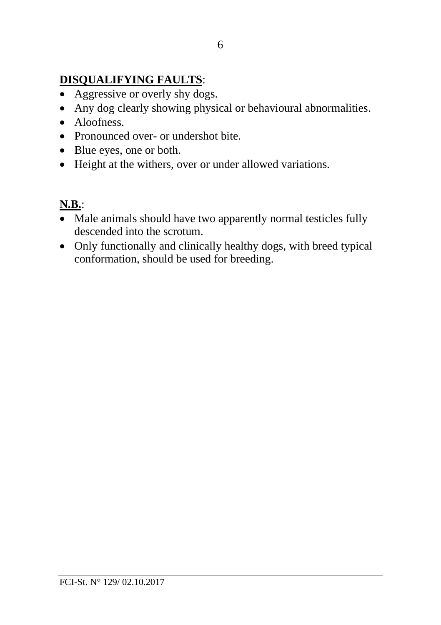## **DISQUALIFYING FAULTS**:

- Aggressive or overly shy dogs.
- Any dog clearly showing physical or behavioural abnormalities.
- Aloofness
- Pronounced over- or undershot bite.
- Blue eyes, one or both.
- Height at the withers, over or under allowed variations.

## **N.B.**:

- Male animals should have two apparently normal testicles fully descended into the scrotum.
- Only functionally and clinically healthy dogs, with breed typical conformation, should be used for breeding.